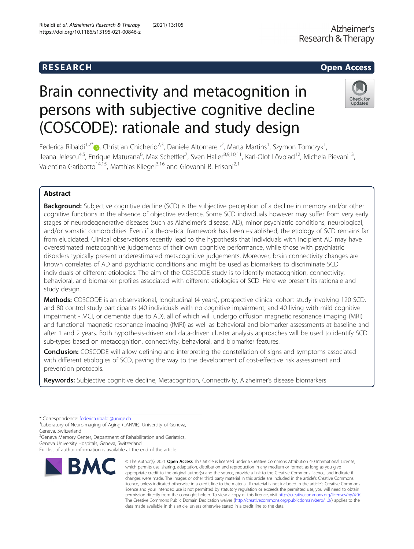# R E S EAR CH Open Access

# Brain connectivity and metacognition in persons with subjective cognitive decline (COSCODE): rationale and study design



Federica Ribaldi<sup>1,2[\\*](http://orcid.org/0000-0001-9208-4472)</sup>®, Christian Chicherio<sup>2,3</sup>, Daniele Altomare<sup>1,2</sup>, Marta Martins<sup>1</sup>, Szymon Tomczyk<sup>1</sup> , lleana Jelescu<sup>4,5</sup>, Enrique Maturana<sup>6</sup>, Max Scheffler<sup>7</sup>, Sven Haller<sup>8,9,10,11</sup>, Karl-Olof Lövblad<sup>12</sup>, Michela Pievani<sup>13</sup>, Valentina Garibotto<sup>14,15</sup>, Matthias Kliegel<sup>3,16</sup> and Giovanni B. Frisoni<sup>2,1</sup>

# Abstract

**Background:** Subjective cognitive decline (SCD) is the subjective perception of a decline in memory and/or other cognitive functions in the absence of objective evidence. Some SCD individuals however may suffer from very early stages of neurodegenerative diseases (such as Alzheimer's disease, AD), minor psychiatric conditions, neurological, and/or somatic comorbidities. Even if a theoretical framework has been established, the etiology of SCD remains far from elucidated. Clinical observations recently lead to the hypothesis that individuals with incipient AD may have overestimated metacognitive judgements of their own cognitive performance, while those with psychiatric disorders typically present underestimated metacognitive judgements. Moreover, brain connectivity changes are known correlates of AD and psychiatric conditions and might be used as biomarkers to discriminate SCD individuals of different etiologies. The aim of the COSCODE study is to identify metacognition, connectivity, behavioral, and biomarker profiles associated with different etiologies of SCD. Here we present its rationale and study design.

Methods: COSCODE is an observational, longitudinal (4 years), prospective clinical cohort study involving 120 SCD, and 80 control study participants (40 individuals with no cognitive impairment, and 40 living with mild cognitive impairment - MCI, or dementia due to AD), all of which will undergo diffusion magnetic resonance imaging (MRI) and functional magnetic resonance imaging (fMRI) as well as behavioral and biomarker assessments at baseline and after 1 and 2 years. Both hypothesis-driven and data-driven cluster analysis approaches will be used to identify SCD sub-types based on metacognition, connectivity, behavioral, and biomarker features.

**Conclusion:** COSCODE will allow defining and interpreting the constellation of signs and symptoms associated with different etiologies of SCD, paving the way to the development of cost-effective risk assessment and prevention protocols.

Keywords: Subjective cognitive decline, Metacognition, Connectivity, Alzheimer's disease biomarkers

\* Correspondence: [federica.ribaldi@unige.ch](mailto:federica.ribaldi@unige.ch) <sup>1</sup>

<sup>1</sup> Laboratory of Neuroimaging of Aging (LANVIE), University of Geneva, Geneva, Switzerland

<sup>2</sup>Geneva Memory Center, Department of Rehabilitation and Geriatrics,

Geneva University Hospitals, Geneva, Switzerland

Full list of author information is available at the end of the article



<sup>©</sup> The Author(s), 2021 **Open Access** This article is licensed under a Creative Commons Attribution 4.0 International License, which permits use, sharing, adaptation, distribution and reproduction in any medium or format, as long as you give appropriate credit to the original author(s) and the source, provide a link to the Creative Commons licence, and indicate if changes were made. The images or other third party material in this article are included in the article's Creative Commons licence, unless indicated otherwise in a credit line to the material. If material is not included in the article's Creative Commons licence and your intended use is not permitted by statutory regulation or exceeds the permitted use, you will need to obtain permission directly from the copyright holder. To view a copy of this licence, visit [http://creativecommons.org/licenses/by/4.0/.](http://creativecommons.org/licenses/by/4.0/) The Creative Commons Public Domain Dedication waiver [\(http://creativecommons.org/publicdomain/zero/1.0/](http://creativecommons.org/publicdomain/zero/1.0/)) applies to the data made available in this article, unless otherwise stated in a credit line to the data.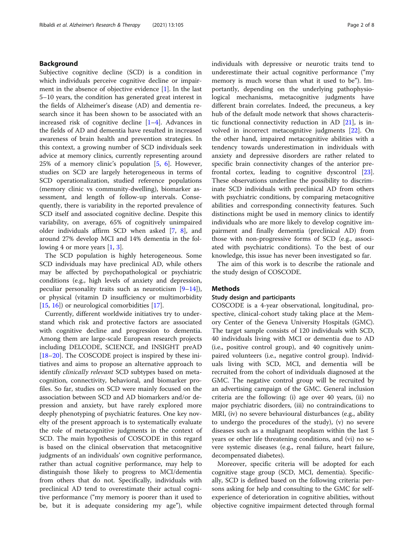# Background

Subjective cognitive decline (SCD) is a condition in which individuals perceive cognitive decline or impairment in the absence of objective evidence  $[1]$  $[1]$ . In the last 5–10 years, the condition has generated great interest in the fields of Alzheimer's disease (AD) and dementia research since it has been shown to be associated with an increased risk of cognitive decline [\[1](#page-7-0)–[4](#page-7-0)]. Advances in the fields of AD and dementia have resulted in increased awareness of brain health and prevention strategies. In this context, a growing number of SCD individuals seek advice at memory clinics, currently representing around 2[5](#page-7-0)% of a memory clinic's population  $[5, 6]$  $[5, 6]$ . However, studies on SCD are largely heterogeneous in terms of SCD operationalization, studied reference populations (memory clinic vs community-dwelling), biomarker assessment, and length of follow-up intervals. Consequently, there is variability in the reported prevalence of SCD itself and associated cognitive decline. Despite this variability, on average, 65% of cognitively unimpaired older individuals affirm SCD when asked [[7,](#page-7-0) [8\]](#page-7-0), and around 27% develop MCI and 14% dementia in the fol-lowing 4 or more years [\[1](#page-7-0), [3](#page-7-0)].

The SCD population is highly heterogeneous. Some SCD individuals may have preclinical AD, while others may be affected by psychopathological or psychiatric conditions (e.g., high levels of anxiety and depression, peculiar personality traits such as neuroticism [\[9](#page-7-0)–[14](#page-7-0)]), or physical (vitamin D insufficiency or multimorbidity [[15,](#page-7-0) [16\]](#page-7-0)) or neurological comorbidities [[17\]](#page-7-0).

Currently, different worldwide initiatives try to understand which risk and protective factors are associated with cognitive decline and progression to dementia. Among them are large-scale European research projects including DELCODE, SCIENCE, and INSIGHT preAD [[18](#page-7-0)–[20](#page-7-0)]. The COSCODE project is inspired by these initiatives and aims to propose an alternative approach to identify *clinically relevant* SCD subtypes based on metacognition, connectivity, behavioral, and biomarker profiles. So far, studies on SCD were mainly focused on the association between SCD and AD biomarkers and/or depression and anxiety, but have rarely explored more deeply phenotyping of psychiatric features. One key novelty of the present approach is to systematically evaluate the role of metacognitive judgments in the context of SCD. The main hypothesis of COSCODE in this regard is based on the clinical observation that metacognitive judgments of an individuals' own cognitive performance, rather than actual cognitive performance, may help to distinguish those likely to progress to MCI/dementia from others that do not. Specifically, individuals with preclinical AD tend to overestimate their actual cognitive performance ("my memory is poorer than it used to be, but it is adequate considering my age"), while individuals with depressive or neurotic traits tend to underestimate their actual cognitive performance ("my memory is much worse than what it used to be"). Importantly, depending on the underlying pathophysiological mechanisms, metacognitive judgments have different brain correlates. Indeed, the precuneus, a key hub of the default mode network that shows characteristic functional connectivity reduction in AD [[21](#page-7-0)], is involved in incorrect metacognitive judgments [\[22\]](#page-7-0). On the other hand, impaired metacognitive abilities with a tendency towards underestimation in individuals with anxiety and depressive disorders are rather related to specific brain connectivity changes of the anterior prefrontal cortex, leading to cognitive dyscontrol [\[23](#page-7-0)]. These observations underline the possibility to discriminate SCD individuals with preclinical AD from others with psychiatric conditions, by comparing metacognitive abilities and corresponding connectivity features. Such distinctions might be used in memory clinics to identify individuals who are more likely to develop cognitive impairment and finally dementia (preclinical AD) from those with non-progressive forms of SCD (e.g., associated with psychiatric conditions). To the best of our knowledge, this issue has never been investigated so far.

The aim of this work is to describe the rationale and the study design of COSCODE.

#### Methods

# Study design and participants

COSCODE is a 4-year observational, longitudinal, prospective, clinical-cohort study taking place at the Memory Center of the Geneva University Hospitals (GMC). The target sample consists of 120 individuals with SCD, 40 individuals living with MCI or dementia due to AD (i.e., positive control group), and 40 cognitively unimpaired volunteers (i.e., negative control group). Individuals living with SCD, MCI, and dementia will be recruited from the cohort of individuals diagnosed at the GMC. The negative control group will be recruited by an advertising campaign of the GMC. General inclusion criteria are the following: (i) age over 40 years, (ii) no major psychiatric disorders, (iii) no contraindications to MRI, (iv) no severe behavioural disturbances (e.g., ability to undergo the procedures of the study), (v) no severe diseases such as a malignant neoplasm within the last 5 years or other life threatening conditions, and (vi) no severe systemic diseases (e.g., renal failure, heart failure, decompensated diabetes).

Moreover, specific criteria will be adopted for each cognitive stage group (SCD, MCI, dementia). Specifically, SCD is defined based on the following criteria: persons asking for help and consulting to the GMC for selfexperience of deterioration in cognitive abilities, without objective cognitive impairment detected through formal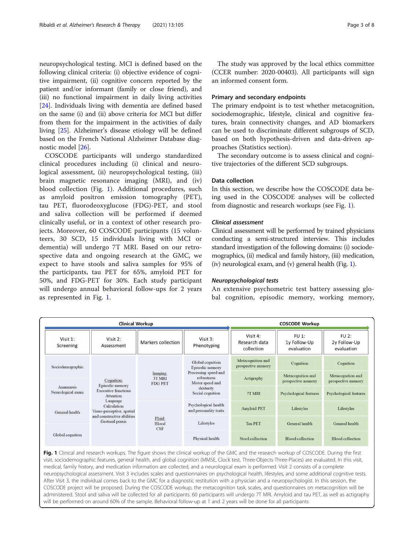<span id="page-2-0"></span>neuropsychological testing. MCI is defined based on the following clinical criteria: (i) objective evidence of cognitive impairment, (ii) cognitive concern reported by the patient and/or informant (family or close friend), and (iii) no functional impairment in daily living activities [[24\]](#page-7-0). Individuals living with dementia are defined based on the same (i) and (ii) above criteria for MCI but differ from them for the impairment in the activities of daily living [[25](#page-7-0)]. Alzheimer's disease etiology will be defined based on the French National Alzheimer Database diagnostic model [[26](#page-7-0)].

COSCODE participants will undergo standardized clinical procedures including (i) clinical and neurological assessment, (ii) neuropsychological testing, (iii) brain magnetic resonance imaging (MRI), and (iv) blood collection (Fig. 1). Additional procedures, such as amyloid positron emission tomography (PET), tau PET, fluorodeoxyglucose (FDG)-PET, and stool and saliva collection will be performed if deemed clinically useful, or in a context of other research projects. Moreover, 60 COSCODE participants (15 volunteers, 30 SCD, 15 individuals living with MCI or dementia) will undergo 7T MRI. Based on our retrospective data and ongoing research at the GMC, we expect to have stools and saliva samples for 95% of the participants, tau PET for 65%, amyloid PET for 50%, and FDG-PET for 30%. Each study participant will undergo annual behavioral follow-ups for 2 years as represented in Fig. 1.

The study was approved by the local ethics committee (CCER number: 2020-00403). All participants will sign an informed consent form.

# Primary and secondary endpoints

The primary endpoint is to test whether metacognition, sociodemographic, lifestyle, clinical and cognitive features, brain connectivity changes, and AD biomarkers can be used to discriminate different subgroups of SCD, based on both hypothesis-driven and data-driven approaches (Statistics section).

The secondary outcome is to assess clinical and cognitive trajectories of the different SCD subgroups.

# Data collection

In this section, we describe how the COSCODE data being used in the COSCODE analyses will be collected from diagnostic and research workups (see Fig. 1).

#### Clinical assessment

Clinical assessment will be performed by trained physicians conducting a semi-structured interview. This includes standard investigation of the following domains: (i) sociodemographics, (ii) medical and family history, (iii) medication, (iv) neurological exam, and (v) general health (Fig. 1).

#### Neuropsychological tests

An extensive psychometric test battery assessing global cognition, episodic memory, working memory,



Fig. 1 Clinical and research workups. The figure shows the clinical workup of the GMC and the research workup of COSCODE. During the first visit, sociodemographic features, general health, and global cognition (MMSE, Clock test, Three-Objects-Three-Places) are evaluated. In this visit, medical, family history, and medication information are collected, and a neurological exam is performed. Visit 2 consists of a complete neuropsychological assessment. Visit 3 includes scales and questionnaires on psychological health, lifestyles, and some additional cognitive tests. After Visit 3, the individual comes back to the GMC for a diagnostic restitution with a physician and a neuropsychologist. In this session, the COSCODE project will be proposed. During the COSCODE workup, the metacognition task, scales, and questionnaires on metacognition will be administered. Stool and saliva will be collected for all participants. 60 participants will undergo 7T MRI. Amyloid and tau PET, as well as actigraphy will be performed on around 60% of the sample. Behavioral follow-up at 1 and 2 years will be done for all participants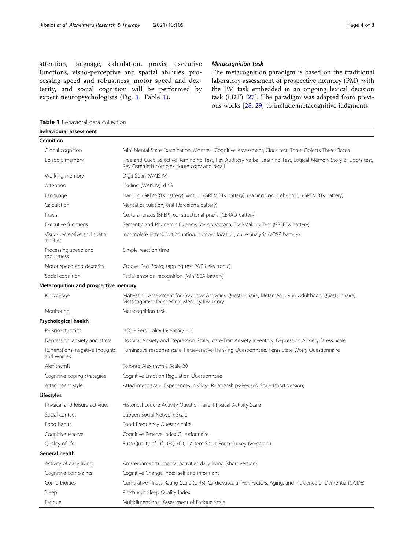<span id="page-3-0"></span>attention, language, calculation, praxis, executive functions, visuo-perceptive and spatial abilities, processing speed and robustness, motor speed and dexterity, and social cognition will be performed by expert neuropsychologists (Fig. [1](#page-2-0), Table 1).

# Metacognition task

The metacognition paradigm is based on the traditional laboratory assessment of prospective memory (PM), with the PM task embedded in an ongoing lexical decision task (LDT) [[27\]](#page-7-0). The paradigm was adapted from previous works [\[28](#page-7-0), [29](#page-7-0)] to include metacognitive judgments.

Table 1 Behavioral data collection

| <b>Behavioural assessment</b>                 |                                                                                                                                                                 |  |
|-----------------------------------------------|-----------------------------------------------------------------------------------------------------------------------------------------------------------------|--|
| Cognition                                     |                                                                                                                                                                 |  |
| Global cognition                              | Mini-Mental State Examination, Montreal Cognitive Assessment, Clock test, Three-Objects-Three-Places                                                            |  |
| Episodic memory                               | Free and Cued Selective Reminding Test, Rey Auditory Verbal Learning Test, Logical Memory Story B, Doors test,<br>Rey Osterrieth complex figure copy and recall |  |
| Working memory                                | Digit Span (WAIS-IV)                                                                                                                                            |  |
| Attention                                     | Coding (WAIS-IV), d2-R                                                                                                                                          |  |
| Language                                      | Naming (GREMOTs battery), writing (GREMOTs battery), reading comprehension (GREMOTs battery)                                                                    |  |
| Calculation                                   | Mental calculation, oral (Barcelona battery)                                                                                                                    |  |
| Praxis                                        | Gestural praxis (BREP), constructional praxis (CERAD battery)                                                                                                   |  |
| Executive functions                           | Semantic and Phonemic Fluency, Stroop Victoria, Trail-Making Test (GREFEX battery)                                                                              |  |
| Visuo-perceptive and spatial<br>abilities     | Incomplete letters, dot counting, number location, cube analysis (VOSP battery)                                                                                 |  |
| Processing speed and<br>robustness            | Simple reaction time                                                                                                                                            |  |
| Motor speed and dexterity                     | Groove Peg Board, tapping test (WPS electronic)                                                                                                                 |  |
| Social cognition                              | Facial emotion recognition (Mini-SEA battery)                                                                                                                   |  |
| Metacognition and prospective memory          |                                                                                                                                                                 |  |
| Knowledge                                     | Motivation Assessment for Cognitive Activities Questionnaire, Metamemory in Adulthood Questionnaire,<br>Metacognitive Prospective Memory Inventory              |  |
| Monitoring                                    | Metacognition task                                                                                                                                              |  |
| Psychological health                          |                                                                                                                                                                 |  |
| Personality traits                            | $NEO - Personality$ Inventory - 3                                                                                                                               |  |
| Depression, anxiety and stress                | Hospital Anxiety and Depression Scale, State-Trait Anxiety Inventory, Depression Anxiety Stress Scale                                                           |  |
| Ruminations, negative thoughts<br>and worries | Ruminative response scale, Perseverative Thinking Questionnaire, Penn State Worry Questionnaire                                                                 |  |
| Alexithymia                                   | Toronto Alexithymia Scale-20                                                                                                                                    |  |
| Cognitive coping strategies                   | Cognitive Emotion Regulation Questionnaire                                                                                                                      |  |
| Attachment style                              | Attachment scale, Experiences in Close Relationships-Revised Scale (short version)                                                                              |  |
| <b>Lifestyles</b>                             |                                                                                                                                                                 |  |
| Physical and leisure activities               | Historical Leisure Activity Questionnaire, Physical Activity Scale                                                                                              |  |
| Social contact                                | Lubben Social Network Scale                                                                                                                                     |  |
| Food habits                                   | Food Frequency Questionnaire                                                                                                                                    |  |
| Cognitive reserve                             | Cognitive Reserve Index Questionnaire                                                                                                                           |  |
| Quality of life                               | Euro-Quality of Life (EQ-5D), 12-Item Short Form Survey (version 2)                                                                                             |  |
| General health                                |                                                                                                                                                                 |  |
| Activity of daily living                      | Amsterdam-instrumental activities daily living (short version)                                                                                                  |  |
| Cognitive complaints                          | Cognitive Change Index self and informant                                                                                                                       |  |
| Comorbidities                                 | Cumulative Illness Rating Scale (CIRS), Cardiovascular Risk Factors, Aging, and Incidence of Dementia (CAIDE)                                                   |  |
| Sleep                                         | Pittsburgh Sleep Quality Index                                                                                                                                  |  |
| Fatigue                                       | Multidimensional Assessment of Fatigue Scale                                                                                                                    |  |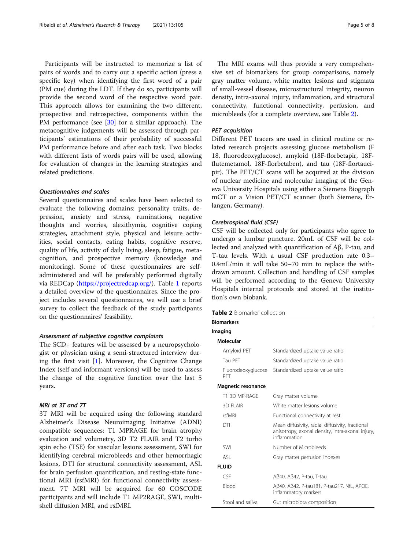Participants will be instructed to memorize a list of pairs of words and to carry out a specific action (press a specific key) when identifying the first word of a pair (PM cue) during the LDT. If they do so, participants will provide the second word of the respective word pair. This approach allows for examining the two different, prospective and retrospective, components within the PM performance (see [\[30\]](#page-7-0) for a similar approach). The metacognitive judgements will be assessed through participants' estimations of their probability of successful PM performance before and after each task. Two blocks with different lists of words pairs will be used, allowing for evaluation of changes in the learning strategies and related predictions.

### Questionnaires and scales

Several questionnaires and scales have been selected to evaluate the following domains: personality traits, depression, anxiety and stress, ruminations, negative thoughts and worries, alexithymia, cognitive coping strategies, attachment style, physical and leisure activities, social contacts, eating habits, cognitive reserve, quality of life, activity of daily living, sleep, fatigue, metacognition, and prospective memory (knowledge and monitoring). Some of these questionnaires are selfadministered and will be preferably performed digitally via REDCap [\(https://projectredcap.org/](https://projectredcap.org/)). Table [1](#page-3-0) reports a detailed overview of the questionnaires. Since the project includes several questionnaires, we will use a brief survey to collect the feedback of the study participants on the questionnaires' feasibility.

#### Assessment of subjective cognitive complaints

The SCD+ features will be assessed by a neuropsychologist or physician using a semi-structured interview during the first visit  $[1]$  $[1]$ . Moreover, the Cognitive Change Index (self and informant versions) will be used to assess the change of the cognitive function over the last 5 years.

# MRI at 3T and 7T

3T MRI will be acquired using the following standard Alzheimer's Disease Neuroimaging Initiative (ADNI) compatible sequences: T1 MPRAGE for brain atrophy evaluation and volumetry, 3D T2 FLAIR and T2 turbo spin echo (TSE) for vascular lesions assessment, SWI for identifying cerebral microbleeds and other hemorrhagic lesions, DTI for structural connectivity assessment, ASL for brain perfusion quantification, and resting-state functional MRI (rsfMRI) for functional connectivity assessment. 7T MRI will be acquired for 60 COSCODE participants and will include T1 MP2RAGE, SWI, multishell diffusion MRI, and rsfMRI.

The MRI exams will thus provide a very comprehensive set of biomarkers for group comparisons, namely gray matter volume, white matter lesions and stigmata of small-vessel disease, microstructural integrity, neuron density, intra-axonal injury, inflammation, and structural connectivity, functional connectivity, perfusion, and microbleeds (for a complete overview, see Table 2).

# PET acquisition

Different PET tracers are used in clinical routine or related research projects assessing glucose metabolism (F 18, fluorodeoxyglucose), amyloid (18F-florbetapir, 18Fflutemetamol, 18F-florbetaben), and tau (18F-flortaucipir). The PET/CT scans will be acquired at the division of nuclear medicine and molecular imaging of the Geneva University Hospitals using either a Siemens Biograph mCT or a Vision PET/CT scanner (both Siemens, Erlangen, Germany).

#### Cerebrospinal fluid (CSF)

CSF will be collected only for participants who agree to undergo a lumbar puncture. 20mL of CSF will be collected and analyzed with quantification of Aβ, P-tau, and T-tau levels. With a usual CSF production rate 0.3– 0.4mL/min it will take 50–70 min to replace the withdrawn amount. Collection and handling of CSF samples will be performed according to the Geneva University Hospitals internal protocols and stored at the institution's own biobank.

| <b>Table 2</b> Biomarker collection |
|-------------------------------------|
|-------------------------------------|

| <b>Biomarkers</b>         |                                                                                                                      |
|---------------------------|----------------------------------------------------------------------------------------------------------------------|
| Imaging                   |                                                                                                                      |
| Molecular                 |                                                                                                                      |
| Amyloid PET               | Standardized uptake value ratio                                                                                      |
| Tau PFT                   | Standardized uptake value ratio                                                                                      |
| Fluorodeoxyglucose<br>PFT | Standardized uptake value ratio                                                                                      |
| <b>Magnetic resonance</b> |                                                                                                                      |
| T1 3D MP-RAGE             | Gray matter volume                                                                                                   |
| 3D FI AIR                 | White matter lesions volume                                                                                          |
| rsfMRI                    | Functional connectivity at rest                                                                                      |
| DTI                       | Mean diffusivity, radial diffusivity, fractional<br>anisotropy, axonal density, intra-axonal injury,<br>inflammation |
| SWI                       | Number of Microbleeds                                                                                                |
| <b>ASI</b>                | Gray matter perfusion indexes                                                                                        |
| <b>FLUID</b>              |                                                                                                                      |
| CSF                       | Aβ40, Aβ42, P-tau, T-tau                                                                                             |
| <b>Blood</b>              | Aβ40, Aβ42, P-tau181, P-tau217, NfL, APOE,<br>inflammatory markers                                                   |
| Stool and saliva          | Gut microbiota composition                                                                                           |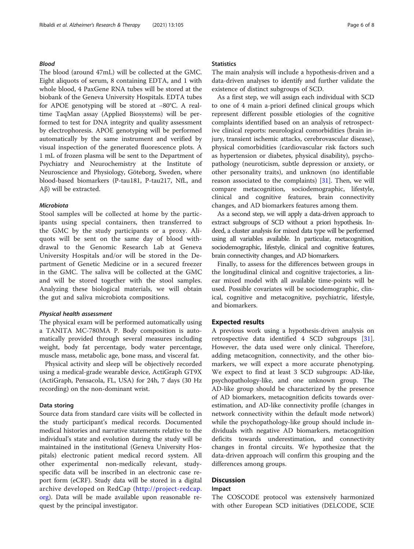# Blood

The blood (around 47mL) will be collected at the GMC. Eight aliquots of serum, 8 containing EDTA, and 1 with whole blood, 4 PaxGene RNA tubes will be stored at the biobank of the Geneva University Hospitals. EDTA tubes for APOE genotyping will be stored at −80°C. A realtime TaqMan assay (Applied Biosystems) will be performed to test for DNA integrity and quality assessment by electrophoresis. APOE genotyping will be performed automatically by the same instrument and verified by visual inspection of the generated fluorescence plots. A 1 mL of frozen plasma will be sent to the Department of Psychiatry and Neurochemistry at the Institute of Neuroscience and Physiology, Göteborg, Sweden, where blood-based biomarkers (P-tau181, P-tau217, NfL, and Aβ) will be extracted.

#### Microbiota

Stool samples will be collected at home by the participants using special containers, then transferred to the GMC by the study participants or a proxy. Aliquots will be sent on the same day of blood withdrawal to the Genomic Research Lab at Geneva University Hospitals and/or will be stored in the Department of Genetic Medicine or in a secured freezer in the GMC. The saliva will be collected at the GMC and will be stored together with the stool samples. Analyzing these biological materials, we will obtain the gut and saliva microbiota compositions.

# Physical health assessment

The physical exam will be performed automatically using a TANITA MC-780MA P. Body composition is automatically provided through several measures including weight, body fat percentage, body water percentage, muscle mass, metabolic age, bone mass, and visceral fat.

Physical activity and sleep will be objectively recorded using a medical-grade wearable device, ActiGraph GT9X (ActiGraph, Pensacola, FL, USA) for 24h, 7 days (30 Hz recording) on the non-dominant wrist.

#### Data storing

Source data from standard care visits will be collected in the study participant's medical records. Documented medical histories and narrative statements relative to the individual's state and evolution during the study will be maintained in the institutional (Geneva University Hospitals) electronic patient medical record system. All other experimental non-medically relevant, studyspecific data will be inscribed in an electronic case report form (eCRF). Study data will be stored in a digital archive developed on RedCap ([http://project-redcap.](http://project-redcap.org) [org](http://project-redcap.org)). Data will be made available upon reasonable request by the principal investigator.

# **Statistics**

The main analysis will include a hypothesis-driven and a data-driven analyses to identify and further validate the existence of distinct subgroups of SCD.

As a first step, we will assign each individual with SCD to one of 4 main a-priori defined clinical groups which represent different possible etiologies of the cognitive complaints identified based on an analysis of retrospective clinical reports: neurological comorbidities (brain injury, transient ischemic attacks, cerebrovascular disease), physical comorbidities (cardiovascular risk factors such as hypertension or diabetes, physical disability), psychopathology (neuroticism, subtle depression or anxiety, or other personality traits), and unknown (no identifiable reason associated to the complaints) [\[31\]](#page-7-0). Then, we will compare metacognition, sociodemographic, lifestyle, clinical and cognitive features, brain connectivity changes, and AD biomarkers features among them.

As a second step, we will apply a data-driven approach to extract subgroups of SCD without a priori hypothesis. Indeed, a cluster analysis for mixed data type will be performed using all variables available. In particular, metacognition, sociodemographic, lifestyle, clinical and cognitive features, brain connectivity changes, and AD biomarkers.

Finally, to assess for the differences between groups in the longitudinal clinical and cognitive trajectories, a linear mixed model with all available time-points will be used. Possible covariates will be sociodemographic, clinical, cognitive and metacognitive, psychiatric, lifestyle, and biomarkers.

# Expected results

A previous work using a hypothesis-driven analysis on retrospective data identified 4 SCD subgroups [\[31](#page-7-0)]. However, the data used were only clinical. Therefore, adding metacognition, connectivity, and the other biomarkers, we will expect a more accurate phenotyping. We expect to find at least 3 SCD subgroups: AD-like, psychopathology-like, and one unknown group. The AD-like group should be characterized by the presence of AD biomarkers, metacognition deficits towards overestimation, and AD-like connectivity profile (changes in network connectivity within the default mode network) while the psychopathology-like group should include individuals with negative AD biomarkers, metacognition deficits towards underestimation, and connectivity changes in frontal circuits. We hypothesize that the data-driven approach will confirm this grouping and the differences among groups.

# **Discussion**

# Impact

The COSCODE protocol was extensively harmonized with other European SCD initiatives (DELCODE, SCIE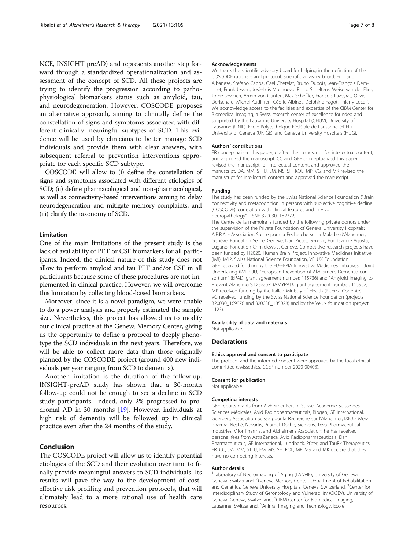NCE, INSIGHT preAD) and represents another step forward through a standardized operationalization and assessment of the concept of SCD. All these projects are trying to identify the progression according to pathophysiological biomarkers status such as amyloid, tau, and neurodegeneration. However, COSCODE proposes an alternative approach, aiming to clinically define the constellation of signs and symptoms associated with different clinically meaningful subtypes of SCD. This evidence will be used by clinicians to better manage SCD individuals and provide them with clear answers, with subsequent referral to prevention interventions appropriate for each specific SCD subtype.

COSCODE will allow to (i) define the constellation of signs and symptoms associated with different etiologies of SCD; (ii) define pharmacological and non-pharmacological, as well as connectivity-based interventions aiming to delay neurodegeneration and mitigate memory complaints; and (iii) clarify the taxonomy of SCD.

#### Limitation

One of the main limitations of the present study is the lack of availability of PET or CSF biomarkers for all participants. Indeed, the clinical nature of this study does not allow to perform amyloid and tau PET and/or CSF in all participants because some of these procedures are not implemented in clinical practice. However, we will overcome this limitation by collecting blood-based biomarkers.

Moreover, since it is a novel paradigm, we were unable to do a power analysis and properly estimated the sample size. Nevertheless, this project has allowed us to modify our clinical practice at the Geneva Memory Center, giving us the opportunity to define a protocol to deeply phenotype the SCD individuals in the next years. Therefore, we will be able to collect more data than those originally planned by the COSCODE project (around 400 new individuals per year ranging from SCD to dementia).

Another limitation is the duration of the follow-up. INSIGHT-preAD study has shown that a 30-month follow-up could not be enough to see a decline in SCD study participants. Indeed, only 2% progressed to prodromal AD in 30 months [[19](#page-7-0)]. However, individuals at high risk of dementia will be followed up in clinical practice even after the 24 months of the study.

# Conclusion

The COSCODE project will allow us to identify potential etiologies of the SCD and their evolution over time to finally provide meaningful answers to SCD individuals. Its results will pave the way to the development of costeffective risk profiling and prevention protocols, that will ultimately lead to a more rational use of health care resources.

#### Acknowledgements

We thank the scientific advisory board for helping in the definition of the COSCODE rationale and protocol. Scientific advisory board: Emiliano Albanese, Stefano Cappa, Gael Chetelat, Bruno Dubois, Jean-François Demonet, Frank Jessen, Josè-Luis Molinuevo, Philip Scheltens, Weise van der Flier, Jorge Jovicich, Armin von Gunten, Max Scheffler, François Lazeyras, Olivier Derischard, Michel Audiffren, Cédric Albinet, Delphine Fagot, Thierry Lecerf. We acknowledge access to the facilities and expertise of the CIBM Center for Biomedical Imaging, a Swiss research center of excellence founded and supported by the Lausanne University Hospital (CHUV), University of Lausanne (UNIL), Ecole Polytechnique Fédérale de Lausanne (EPFL), University of Geneva (UNIGE), and Geneva University Hospitals (HUG).

#### Authors' contributions

FR conceptualized this paper, drafted the manuscript for intellectual content, and approved the manuscript. CC and GBF conceptualized this paper, revised the manuscript for intellectual content, and approved the manuscript. DA, MM, ST, IJ, EM, MS, SH, KOL, MP, VG, and MK revised the manuscript for intellectual content and approved the manuscript.

#### Funding

The study has been funded by the Swiss National Science Foundation ("Brain connectivity and metacognition in persons with subjective cognitive decline (COSCODE): correlation with clinical features and in vivo neuropathology"—SNF 320030\_182772).

The Centre de la mémoire is funded by the following private donors under the supervision of the Private Foundation of Geneva University Hospitals: A.P.R.A. - Association Suisse pour la Recherche sur la Maladie d'Alzheimer, Genève; Fondation Segré, Genève; Ivan Pictet, Genève; Fondazione Agusta, Lugano; Fondation Chmielewski, Genève. Competitive research projects have been funded by H2020, Human Brain Project, Innovative Medicines Initiative (IMI), IMI2, Swiss National Science Foundation, VELUX Foundation. GBF received funding by the EU-EFPIA Innovative Medicines Initiatives 2 Joint Undertaking (IMI 2 JU) "European Prevention of Alzheimer's Dementia consortium" (EPAD, grant agreement number: 115736) and "Amyloid Imaging to Prevent Alzheimer's Disease" (AMYPAD, grant agreement number: 115952). MP received funding by the Italian Ministry of Health (Ricerca Corrente). VG received funding by the Swiss National Science Foundation (projects 320030\_169876 and 320030\_185028) and by the Velux foundation (project 1123).

#### Availability of data and materials Not applicable.

#### Declarations

#### Ethics approval and consent to participate

The protocol and the informed consent were approved by the local ethical committee (swissethics, CCER number 2020-00403).

#### Consent for publication

Not applicable.

#### Competing interests

GBF reports grants from Alzheimer Forum Suisse, Académie Suisse des Sciences Médicales, Avid Radiopharmaceuticals, Biogen, GE International, Guerbert, Association Suisse pour la Recherche sur l'Alzheimer, IXICO, Merz Pharma, Nestlé, Novartis, Piramal, Roche, Siemens, Teva Pharmaceutical Industries, Vifor Pharma, and Alzheimer's Association; he has received personal fees from AstraZeneca, Avid Radiopharmaceuticals, Elan Pharmaceuticals, GE International, Lundbeck, Pfizer, and TauRx Therapeutics. FR, CC, DA, MM, ST, IJ, EM, MS, SH, KOL, MP, VG, and MK declare that they have no competing interests.

#### Author details

<sup>1</sup> Laboratory of Neuroimaging of Aging (LANVIE), University of Geneva Geneva, Switzerland. <sup>2</sup>Geneva Memory Center, Department of Rehabilitation and Geriatrics, Geneva University Hospitals, Geneva, Switzerland. <sup>3</sup>Center for Interdisciplinary Study of Gerontology and Vulnerability (CIGEV), University of Geneva, Geneva, Switzerland. <sup>4</sup> CIBM Center for Biomedical Imaging, Lausanne, Switzerland. <sup>5</sup> Animal Imaging and Technology, Ecole